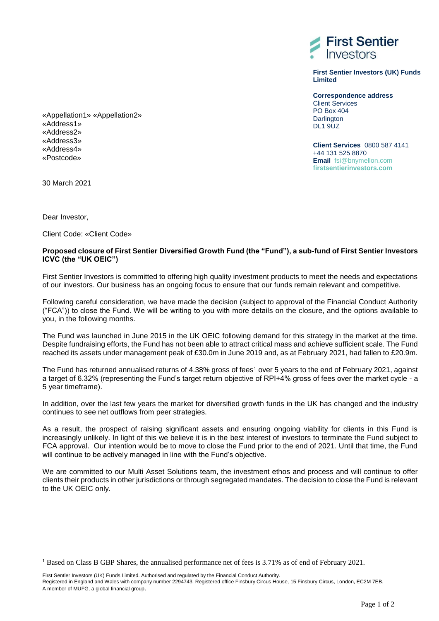

**First Sentier Investors (UK) Funds Limited**

**Correspondence address** Client Services PO Box 404 **Darlington DL1 9UZ** 

**Client Services** 0800 587 4141 +44 131 525 8870 **Email** fsi@bnymellon.com **firstsentierinvestors.com** 

«Appellation1» «Appellation2» «Address1» «Address2» «Address3» «Address4» «Postcode»

30 March 2021

Dear Investor,

l

Client Code: «Client Code»

## **Proposed closure of First Sentier Diversified Growth Fund (the "Fund"), a sub-fund of First Sentier Investors ICVC (the "UK OEIC")**

First Sentier Investors is committed to offering high quality investment products to meet the needs and expectations of our investors. Our business has an ongoing focus to ensure that our funds remain relevant and competitive.

Following careful consideration, we have made the decision (subject to approval of the Financial Conduct Authority ("FCA")) to close the Fund. We will be writing to you with more details on the closure, and the options available to you, in the following months.

The Fund was launched in June 2015 in the UK OEIC following demand for this strategy in the market at the time. Despite fundraising efforts, the Fund has not been able to attract critical mass and achieve sufficient scale. The Fund reached its assets under management peak of £30.0m in June 2019 and, as at February 2021, had fallen to £20.9m.

The Fund has returned annualised returns of 4.38% gross of fees<sup>1</sup> over 5 years to the end of February 2021, against a target of 6.32% (representing the Fund's target return objective of RPI+4% gross of fees over the market cycle - a 5 year timeframe).

In addition, over the last few years the market for diversified growth funds in the UK has changed and the industry continues to see net outflows from peer strategies.

As a result, the prospect of raising significant assets and ensuring ongoing viability for clients in this Fund is increasingly unlikely. In light of this we believe it is in the best interest of investors to terminate the Fund subject to FCA approval. Our intention would be to move to close the Fund prior to the end of 2021. Until that time, the Fund will continue to be actively managed in line with the Fund's objective.

We are committed to our Multi Asset Solutions team, the investment ethos and process and will continue to offer clients their products in other jurisdictions or through segregated mandates. The decision to close the Fund is relevant to the UK OEIC only.

Registered in England and Wales with company number 2294743. Registered office Finsbury Circus House, 15 Finsbury Circus, London, EC2M 7EB. A member of MUFG, a global financial group.

<sup>&</sup>lt;sup>1</sup> Based on Class B GBP Shares, the annualised performance net of fees is 3.71% as of end of February 2021.

First Sentier Investors (UK) Funds Limited. Authorised and regulated by the Financial Conduct Authority.